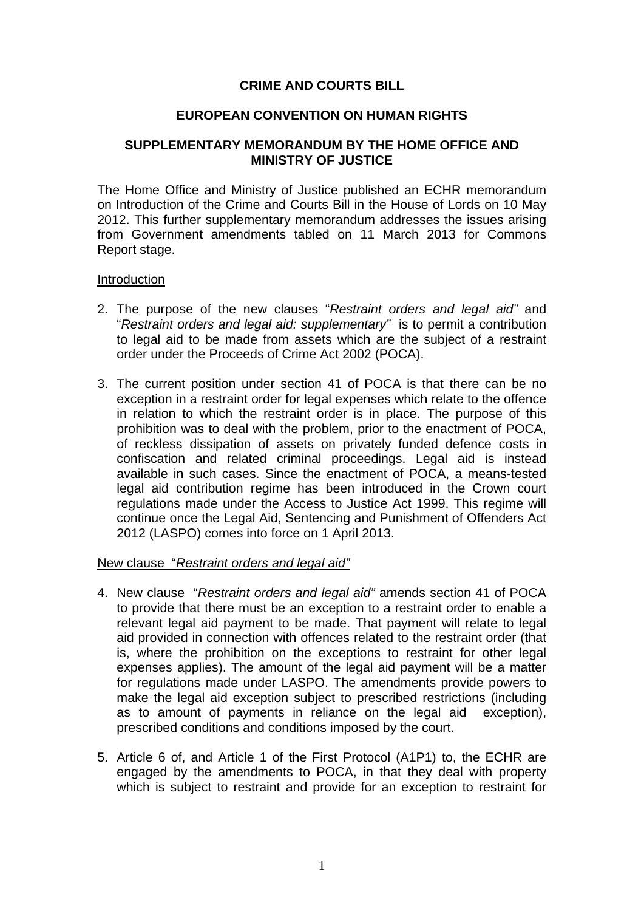# **CRIME AND COURTS BILL**

## **EUROPEAN CONVENTION ON HUMAN RIGHTS**

## **SUPPLEMENTARY MEMORANDUM BY THE HOME OFFICE AND MINISTRY OF JUSTICE**

The Home Office and Ministry of Justice published an ECHR memorandum on Introduction of the Crime and Courts Bill in the House of Lords on 10 May 2012. This further supplementary memorandum addresses the issues arising from Government amendments tabled on 11 March 2013 for Commons Report stage.

#### Introduction

- 2. The purpose of the new clauses "*Restraint orders and legal aid"* and "*Restraint orders and legal aid: supplementary"* is to permit a contribution to legal aid to be made from assets which are the subject of a restraint order under the Proceeds of Crime Act 2002 (POCA).
- 3. The current position under section 41 of POCA is that there can be no exception in a restraint order for legal expenses which relate to the offence in relation to which the restraint order is in place. The purpose of this prohibition was to deal with the problem, prior to the enactment of POCA, of reckless dissipation of assets on privately funded defence costs in confiscation and related criminal proceedings. Legal aid is instead available in such cases. Since the enactment of POCA, a means-tested legal aid contribution regime has been introduced in the Crown court regulations made under the Access to Justice Act 1999. This regime will continue once the Legal Aid, Sentencing and Punishment of Offenders Act 2012 (LASPO) comes into force on 1 April 2013.

# New clause "*Restraint orders and legal aid"*

- 4. New clause "*Restraint orders and legal aid"* amends section 41 of POCA to provide that there must be an exception to a restraint order to enable a relevant legal aid payment to be made. That payment will relate to legal aid provided in connection with offences related to the restraint order (that is, where the prohibition on the exceptions to restraint for other legal expenses applies). The amount of the legal aid payment will be a matter for regulations made under LASPO. The amendments provide powers to make the legal aid exception subject to prescribed restrictions (including as to amount of payments in reliance on the legal aid exception), prescribed conditions and conditions imposed by the court.
- 5. Article 6 of, and Article 1 of the First Protocol (A1P1) to, the ECHR are engaged by the amendments to POCA, in that they deal with property which is subject to restraint and provide for an exception to restraint for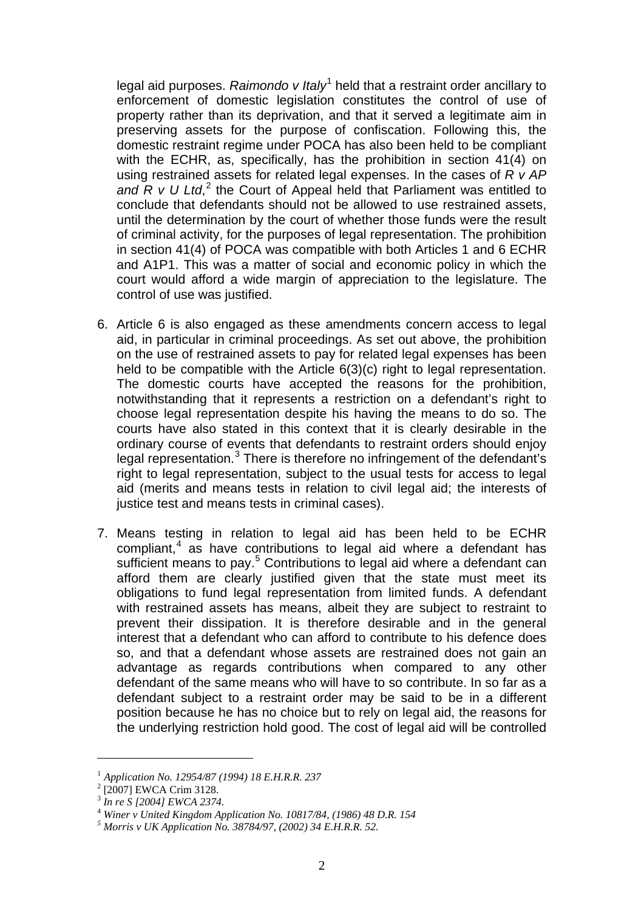legal aid purposes. *Raimondo v Italy*<sup>[1](#page-1-0)</sup> held that a restraint order ancillary to enforcement of domestic legislation constitutes the control of use of property rather than its deprivation, and that it served a legitimate aim in preserving assets for the purpose of confiscation. Following this, the domestic restraint regime under POCA has also been held to be compliant with the ECHR, as, specifically, has the prohibition in section 41(4) on using restrained assets for related legal expenses. In the cases of *R v AP*  and R v U Ltd,<sup>[2](#page-1-1)</sup> the Court of Appeal held that Parliament was entitled to conclude that defendants should not be allowed to use restrained assets, until the determination by the court of whether those funds were the result of criminal activity, for the purposes of legal representation. The prohibition in section 41(4) of POCA was compatible with both Articles 1 and 6 ECHR and A1P1. This was a matter of social and economic policy in which the court would afford a wide margin of appreciation to the legislature. The control of use was justified.

- 6. Article 6 is also engaged as these amendments concern access to legal aid, in particular in criminal proceedings. As set out above, the prohibition on the use of restrained assets to pay for related legal expenses has been held to be compatible with the Article 6(3)(c) right to legal representation. The domestic courts have accepted the reasons for the prohibition, notwithstanding that it represents a restriction on a defendant's right to choose legal representation despite his having the means to do so. The courts have also stated in this context that it is clearly desirable in the ordinary course of events that defendants to restraint orders should enjoy legal representation.<sup>[3](#page-1-2)</sup> There is therefore no infringement of the defendant's right to legal representation, subject to the usual tests for access to legal aid (merits and means tests in relation to civil legal aid; the interests of justice test and means tests in criminal cases).
- 7. Means testing in relation to legal aid has been held to be ECHR compliant, [4](#page-1-3) as have contributions to legal aid where a defendant has sufficient means to pay.<sup>[5](#page-1-4)</sup> Contributions to legal aid where a defendant can afford them are clearly justified given that the state must meet its obligations to fund legal representation from limited funds. A defendant with restrained assets has means, albeit they are subject to restraint to prevent their dissipation. It is therefore desirable and in the general interest that a defendant who can afford to contribute to his defence does so, and that a defendant whose assets are restrained does not gain an advantage as regards contributions when compared to any other defendant of the same means who will have to so contribute. In so far as a defendant subject to a restraint order may be said to be in a different position because he has no choice but to rely on legal aid, the reasons for the underlying restriction hold good. The cost of legal aid will be controlled

<u>.</u>

<span id="page-1-0"></span><sup>1</sup> *Application No. 12954/87 (1994) 18 E.H.R.R. 237*

<span id="page-1-1"></span> $^{2}$  [2007] EWCA Crim 3128.

<sup>3</sup> *In re S [2004] EWCA 2374.*

<span id="page-1-3"></span><span id="page-1-2"></span><sup>4</sup> *Winer v United Kingdom Application No. 10817/84, (1986) 48 D.R. 154 5 Morris v UK Application No. 38784/97, (2002) 34 E.H.R.R. 52.*

<span id="page-1-4"></span>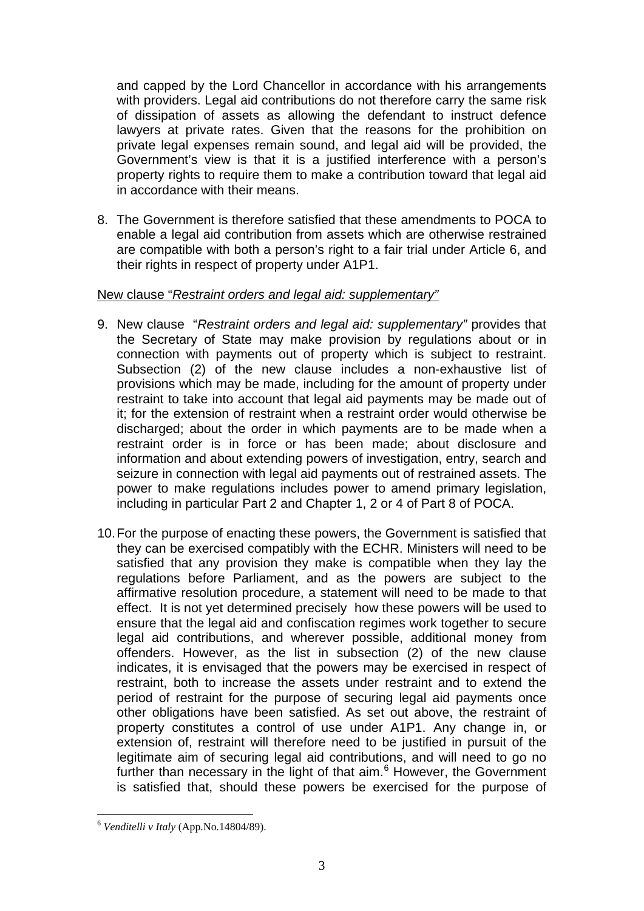and capped by the Lord Chancellor in accordance with his arrangements with providers. Legal aid contributions do not therefore carry the same risk of dissipation of assets as allowing the defendant to instruct defence lawyers at private rates. Given that the reasons for the prohibition on private legal expenses remain sound, and legal aid will be provided, the Government's view is that it is a justified interference with a person's property rights to require them to make a contribution toward that legal aid in accordance with their means.

8. The Government is therefore satisfied that these amendments to POCA to enable a legal aid contribution from assets which are otherwise restrained are compatible with both a person's right to a fair trial under Article 6, and their rights in respect of property under A1P1.

## New clause "*Restraint orders and legal aid: supplementary"*

- 9. New clause "*Restraint orders and legal aid: supplementary"* provides that the Secretary of State may make provision by regulations about or in connection with payments out of property which is subject to restraint. Subsection (2) of the new clause includes a non-exhaustive list of provisions which may be made, including for the amount of property under restraint to take into account that legal aid payments may be made out of it; for the extension of restraint when a restraint order would otherwise be discharged; about the order in which payments are to be made when a restraint order is in force or has been made; about disclosure and information and about extending powers of investigation, entry, search and seizure in connection with legal aid payments out of restrained assets. The power to make regulations includes power to amend primary legislation, including in particular Part 2 and Chapter 1, 2 or 4 of Part 8 of POCA.
- 10.For the purpose of enacting these powers, the Government is satisfied that they can be exercised compatibly with the ECHR. Ministers will need to be satisfied that any provision they make is compatible when they lay the regulations before Parliament, and as the powers are subject to the affirmative resolution procedure, a statement will need to be made to that effect. It is not yet determined precisely how these powers will be used to ensure that the legal aid and confiscation regimes work together to secure legal aid contributions, and wherever possible, additional money from offenders. However, as the list in subsection (2) of the new clause indicates, it is envisaged that the powers may be exercised in respect of restraint, both to increase the assets under restraint and to extend the period of restraint for the purpose of securing legal aid payments once other obligations have been satisfied. As set out above, the restraint of property constitutes a control of use under A1P1. Any change in, or extension of, restraint will therefore need to be justified in pursuit of the legitimate aim of securing legal aid contributions, and will need to go no further than necessary in the light of that aim.<sup>[6](#page-2-0)</sup> However, the Government is satisfied that, should these powers be exercised for the purpose of

<span id="page-2-0"></span> <sup>6</sup> *Venditelli v Italy* (App.No.14804/89).